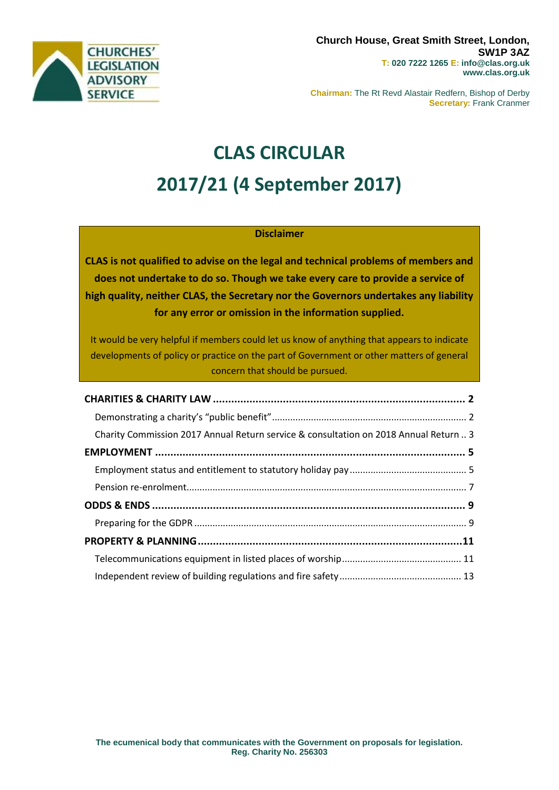

**Chairman:** The Rt Revd Alastair Redfern, Bishop of Derby **Secretary:** Frank Cranmer

# **CLAS CIRCULAR 2017/21 (4 September 2017)**

# **Disclaimer**

**CLAS is not qualified to advise on the legal and technical problems of members and does not undertake to do so. Though we take every care to provide a service of high quality, neither CLAS, the Secretary nor the Governors undertakes any liability for any error or omission in the information supplied.**

It would be very helpful if members could let us know of anything that appears to indicate developments of policy or practice on the part of Government or other matters of general concern that should be pursued.

| Charity Commission 2017 Annual Return service & consultation on 2018 Annual Return  3 |  |
|---------------------------------------------------------------------------------------|--|
|                                                                                       |  |
|                                                                                       |  |
|                                                                                       |  |
|                                                                                       |  |
|                                                                                       |  |
|                                                                                       |  |
|                                                                                       |  |
|                                                                                       |  |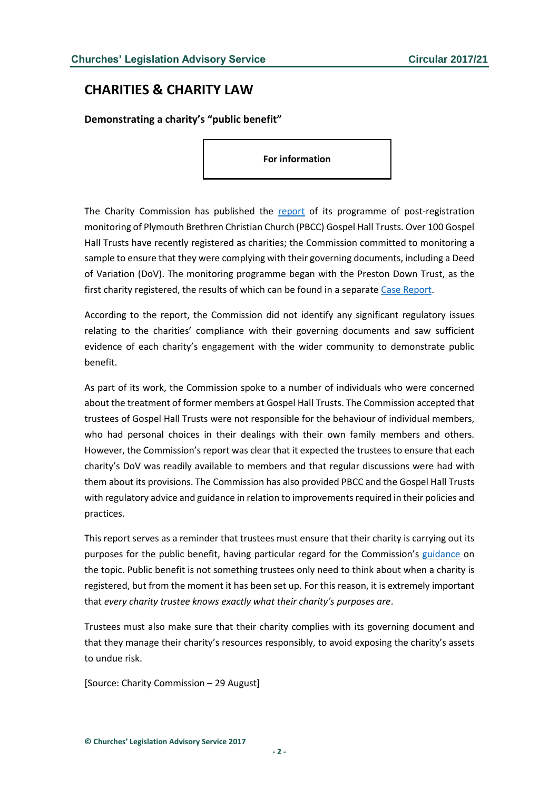# <span id="page-1-0"></span>**CHARITIES & CHARITY LAW**

<span id="page-1-1"></span>**Demonstrating a charity's "public benefit"**

**For information**

The Charity Commission has published the [report](https://www.gov.uk/government/publications/plymouth-brethren-gospel-hall-trusts-group-case-report/plymouth-brethren-gospel-hall-trusts) of its programme of post-registration monitoring of Plymouth Brethren Christian Church (PBCC) Gospel Hall Trusts. Over 100 Gospel Hall Trusts have recently registered as charities; the Commission committed to monitoring a sample to ensure that they were complying with their governing documents, including a Deed of Variation (DoV). The monitoring programme began with the Preston Down Trust, as the first charity registered, the results of which can be found in a separate [Case Report.](https://www.gov.uk/government/uploads/system/uploads/attachment_data/file/500364/preston_down_trust.pdf)

According to the report, the Commission did not identify any significant regulatory issues relating to the charities' compliance with their governing documents and saw sufficient evidence of each charity's engagement with the wider community to demonstrate public benefit.

As part of its work, the Commission spoke to a number of individuals who were concerned about the treatment of former members at Gospel Hall Trusts. The Commission accepted that trustees of Gospel Hall Trusts were not responsible for the behaviour of individual members, who had personal choices in their dealings with their own family members and others. However, the Commission's report was clear that it expected the trustees to ensure that each charity's DoV was readily available to members and that regular discussions were had with them about its provisions. The Commission has also provided PBCC and the Gospel Hall Trusts with regulatory advice and guidance in relation to improvements required in their policies and practices.

This report serves as a reminder that trustees must ensure that their charity is carrying out its purposes for the public benefit, having particular regard for the Commission's [guidance](https://www.gov.uk/government/publications/public-benefit-running-a-charity-pb2/public-benefit-running-a-charity) on the topic. Public benefit is not something trustees only need to think about when a charity is registered, but from the moment it has been set up. For this reason, it is extremely important that *every charity trustee knows exactly what their charity's purposes are*.

Trustees must also make sure that their charity complies with its governing document and that they manage their charity's resources responsibly, to avoid exposing the charity's assets to undue risk.

[Source: Charity Commission – 29 August]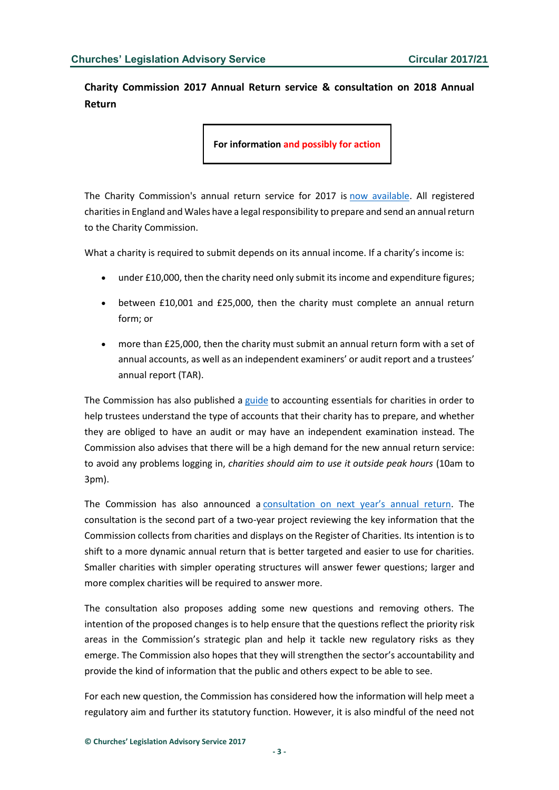<span id="page-2-0"></span>**Charity Commission 2017 Annual Return service & consultation on 2018 Annual Return**

**For information and possibly for action**

The Charity Commission's annual return service for 2017 is [now available.](http://www.gov.uk/send-charity-annual-return) All registered charitiesin England and Wales have a legal responsibility to prepare and send an annual return to the Charity Commission.

What a charity is required to submit depends on its annual income. If a charity's income is:

- under £10,000, then the charity need only submit its income and expenditure figures;
- between £10,001 and £25,000, then the charity must complete an annual return form; or
- more than £25,000, then the charity must submit an annual return form with a set of annual accounts, as well as an independent examiners' or audit report and a trustees' annual report (TAR).

The Commission has also published a [guide](http://www.gov.uk/government/publications/charity-reporting-and-accounting-the-essentials-march-2015-cc15c) to accounting essentials for charities in order to help trustees understand the type of accounts that their charity has to prepare, and whether they are obliged to have an audit or may have an independent examination instead. The Commission also advises that there will be a high demand for the new annual return service: to avoid any problems logging in, *charities should aim to use it outside peak hours* (10am to 3pm).

The Commission has also announced a [consultation on next year's annual return](https://www.gov.uk/government/consultations/annual-return-for-2018-information-collected-from-charities). The consultation is the second part of a two-year project reviewing the key information that the Commission collects from charities and displays on the Register of Charities. Its intention is to shift to a more dynamic annual return that is better targeted and easier to use for charities. Smaller charities with simpler operating structures will answer fewer questions; larger and more complex charities will be required to answer more.

The consultation also proposes adding some new questions and removing others. The intention of the proposed changes is to help ensure that the questions reflect the priority risk areas in the Commission's strategic plan and help it tackle new regulatory risks as they emerge. The Commission also hopes that they will strengthen the sector's accountability and provide the kind of information that the public and others expect to be able to see.

For each new question, the Commission has considered how the information will help meet a regulatory aim and further its statutory function. However, it is also mindful of the need not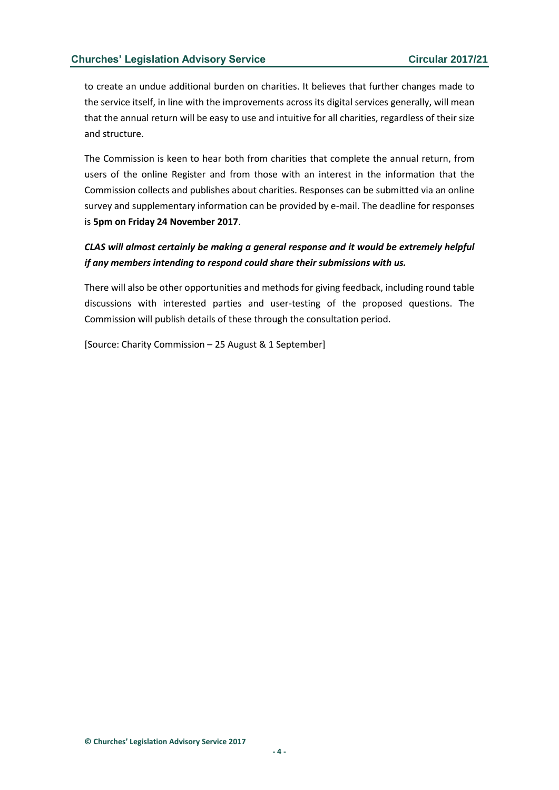to create an undue additional burden on charities. It believes that further changes made to the service itself, in line with the improvements across its digital services generally, will mean that the annual return will be easy to use and intuitive for all charities, regardless of their size and structure.

The Commission is keen to hear both from charities that complete the annual return, from users of the online Register and from those with an interest in the information that the Commission collects and publishes about charities. Responses can be submitted via an online survey and supplementary information can be provided by e-mail. The deadline for responses is **5pm on Friday 24 November 2017**.

*CLAS will almost certainly be making a general response and it would be extremely helpful if any members intending to respond could share their submissions with us.*

There will also be other opportunities and methods for giving feedback, including round table discussions with interested parties and user-testing of the proposed questions. The Commission will publish details of these through the consultation period.

[Source: Charity Commission – 25 August & 1 September]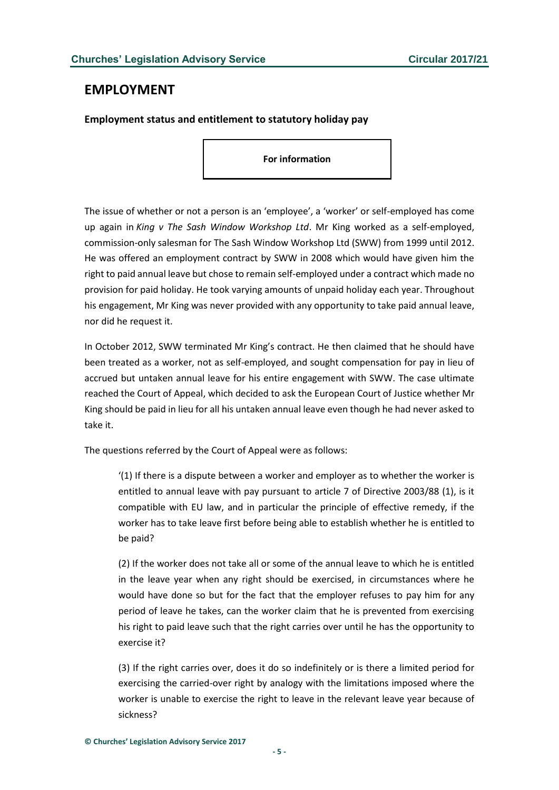# <span id="page-4-0"></span>**EMPLOYMENT**

# <span id="page-4-1"></span>**Employment status and entitlement to statutory holiday pay**

**For information**

The issue of whether or not a person is an 'employee', a 'worker' or self-employed has come up again in *King v The Sash Window Workshop Ltd*. Mr King worked as a self-employed, commission-only salesman for The Sash Window Workshop Ltd (SWW) from 1999 until 2012. He was offered an employment contract by SWW in 2008 which would have given him the right to paid annual leave but chose to remain self-employed under a contract which made no provision for paid holiday. He took varying amounts of unpaid holiday each year. Throughout his engagement, Mr King was never provided with any opportunity to take paid annual leave, nor did he request it.

In October 2012, SWW terminated Mr King's contract. He then claimed that he should have been treated as a worker, not as self-employed, and sought compensation for pay in lieu of accrued but untaken annual leave for his entire engagement with SWW. The case ultimate reached the Court of Appeal, which decided to ask the European Court of Justice whether Mr King should be paid in lieu for all his untaken annual leave even though he had never asked to take it.

The questions referred by the Court of Appeal were as follows:

'(1) If there is a dispute between a worker and employer as to whether the worker is entitled to annual leave with pay pursuant to article 7 of Directive 2003/88 (1), is it compatible with EU law, and in particular the principle of effective remedy, if the worker has to take leave first before being able to establish whether he is entitled to be paid?

(2) If the worker does not take all or some of the annual leave to which he is entitled in the leave year when any right should be exercised, in circumstances where he would have done so but for the fact that the employer refuses to pay him for any period of leave he takes, can the worker claim that he is prevented from exercising his right to paid leave such that the right carries over until he has the opportunity to exercise it?

(3) If the right carries over, does it do so indefinitely or is there a limited period for exercising the carried-over right by analogy with the limitations imposed where the worker is unable to exercise the right to leave in the relevant leave year because of sickness?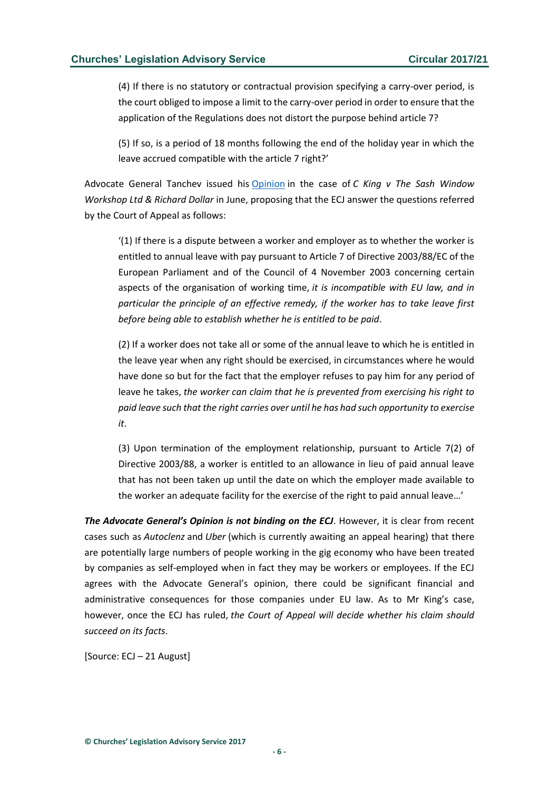(4) If there is no statutory or contractual provision specifying a carry-over period, is the court obliged to impose a limit to the carry-over period in order to ensure that the application of the Regulations does not distort the purpose behind article 7?

(5) If so, is a period of 18 months following the end of the holiday year in which the leave accrued compatible with the article 7 right?'

Advocate General Tanchev issued his [Opinion](http://curia.europa.eu/juris/document/document.jsf;jsessionid=9ea7d2dc30d66f971ee2f9604ad49cd5f01ba84818cc.e34KaxiLc3qMb40Rch0SaxyMbh10?text=&docid=191322&pageIndex=0&doclang=EN&mode=req&dir=&occ=first&part=1&cid=1049152) in the case of *C King v The Sash Window Workshop Ltd & Richard Dollar* in June, proposing that the ECJ answer the questions referred by the Court of Appeal as follows:

'(1) If there is a dispute between a worker and employer as to whether the worker is entitled to annual leave with pay pursuant to Article 7 of Directive 2003/88/EC of the European Parliament and of the Council of 4 November 2003 concerning certain aspects of the organisation of working time, *it is incompatible with EU law, and in particular the principle of an effective remedy, if the worker has to take leave first before being able to establish whether he is entitled to be paid*.

(2) If a worker does not take all or some of the annual leave to which he is entitled in the leave year when any right should be exercised, in circumstances where he would have done so but for the fact that the employer refuses to pay him for any period of leave he takes, *the worker can claim that he is prevented from exercising his right to paid leave such that the right carries over until he has had such opportunity to exercise it*.

(3) Upon termination of the employment relationship, pursuant to Article 7(2) of Directive 2003/88, a worker is entitled to an allowance in lieu of paid annual leave that has not been taken up until the date on which the employer made available to the worker an adequate facility for the exercise of the right to paid annual leave…'

*The Advocate General's Opinion is not binding on the ECJ*. However, it is clear from recent cases such as *Autoclenz* and *Uber* (which is currently awaiting an appeal hearing) that there are potentially large numbers of people working in the gig economy who have been treated by companies as self-employed when in fact they may be workers or employees. If the ECJ agrees with the Advocate General's opinion, there could be significant financial and administrative consequences for those companies under EU law. As to Mr King's case, however, once the ECJ has ruled, *the Court of Appeal will decide whether his claim should succeed on its facts*.

[Source: ECJ – 21 August]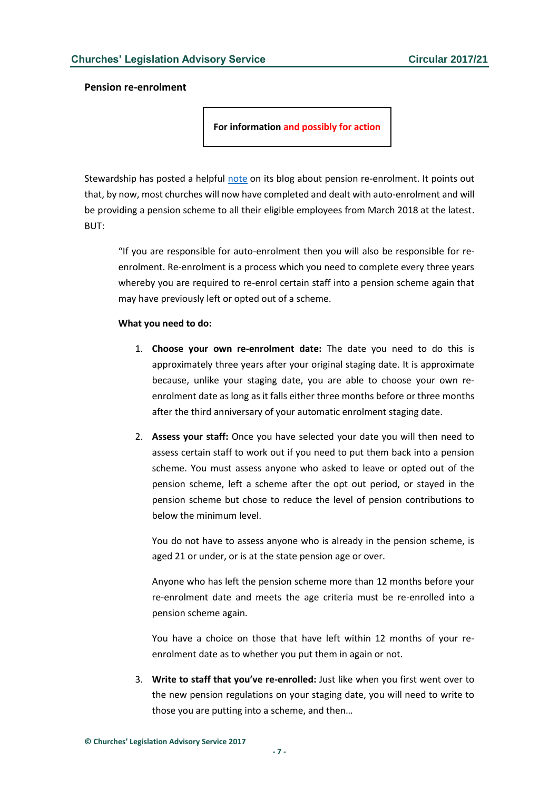## <span id="page-6-0"></span>**Pension re-enrolment**

**For information and possibly for action**

Stewardship has posted a helpful [note](https://www.stewardship.org.uk/blog/blog/post/510-four-things-all-churches-need-to-know-about-pension-re-enrolment?utm_source=Stewardship) on its blog about pension re-enrolment. It points out that, by now, most churches will now have completed and dealt with auto-enrolment and will be providing a pension scheme to all their eligible employees from March 2018 at the latest. BUT:

"If you are responsible for auto-enrolment then you will also be responsible for reenrolment. Re-enrolment is a process which you need to complete every three years whereby you are required to re-enrol certain staff into a pension scheme again that may have previously left or opted out of a scheme.

#### **What you need to do:**

- 1. **Choose your own re-enrolment date:** The date you need to do this is approximately three years after your original staging date. It is approximate because, unlike your staging date, you are able to choose your own reenrolment date as long as it falls either three months before or three months after the third anniversary of your automatic enrolment staging date.
- 2. **Assess your staff:** Once you have selected your date you will then need to assess certain staff to work out if you need to put them back into a pension scheme. You must assess anyone who asked to leave or opted out of the pension scheme, left a scheme after the opt out period, or stayed in the pension scheme but chose to reduce the level of pension contributions to below the minimum level.

You do not have to assess anyone who is already in the pension scheme, is aged 21 or under, or is at the state pension age or over.

Anyone who has left the pension scheme more than 12 months before your re-enrolment date and meets the age criteria must be re-enrolled into a pension scheme again.

You have a choice on those that have left within 12 months of your reenrolment date as to whether you put them in again or not.

3. **Write to staff that you've re-enrolled:** Just like when you first went over to the new pension regulations on your staging date, you will need to write to those you are putting into a scheme, and then…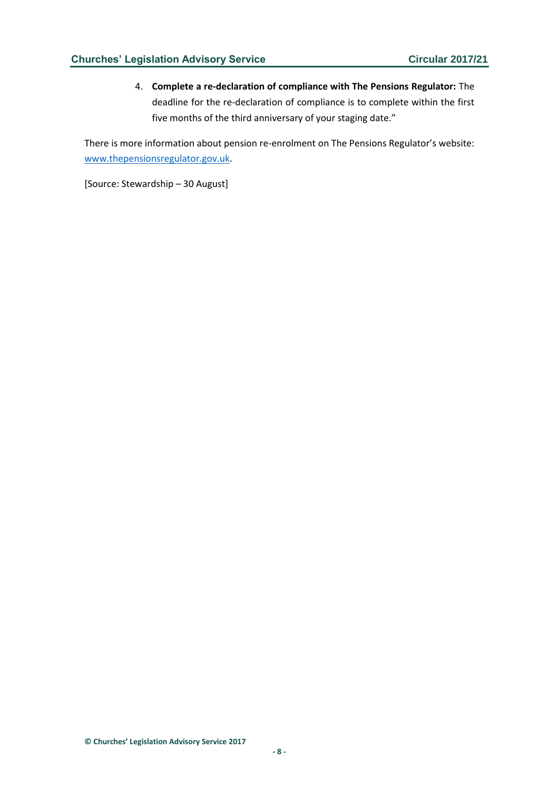4. **Complete a re-declaration of compliance with The Pensions Regulator:** The deadline for the re-declaration of compliance is to complete within the first five months of the third anniversary of your staging date."

There is more information about pension re-enrolment on The Pensions Regulator's website: [www.thepensionsregulator.gov.uk.](http://www.thepensionsregulator.gov.uk/)

[Source: Stewardship – 30 August]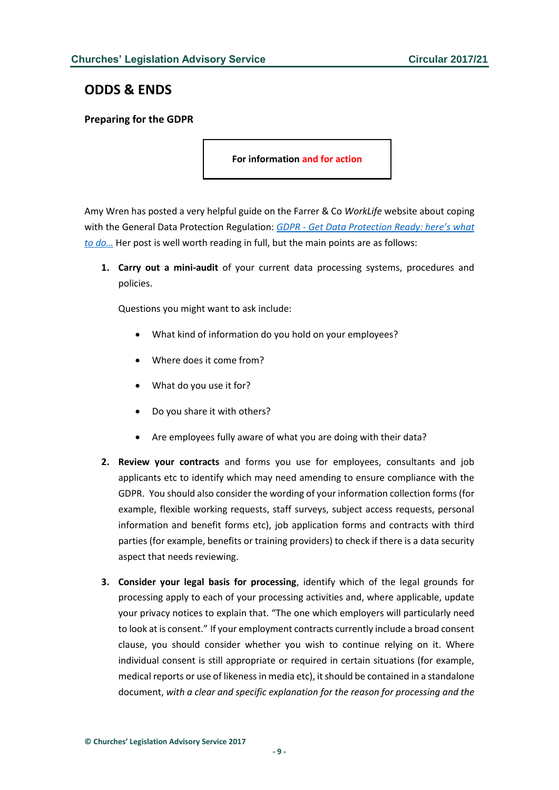# <span id="page-8-0"></span>**ODDS & ENDS**

# <span id="page-8-1"></span>**Preparing for the GDPR**

**For information and for action**

Amy Wren has posted a very helpful guide on the Farrer & Co *WorkLife* website about coping with the General Data Protection Regulation: *GDPR - [Get Data Protection Ready: her](http://www.farrer.co.uk/how-we-help/employment-issues/WorkLife/WorkLife/Dates/2017/8/GDPR---Get-Data-Protection-Ready-heres-what-to-do/)e's what [to do…](http://www.farrer.co.uk/how-we-help/employment-issues/WorkLife/WorkLife/Dates/2017/8/GDPR---Get-Data-Protection-Ready-heres-what-to-do/)* Her post is well worth reading in full, but the main points are as follows:

**1. Carry out a mini-audit** of your current data processing systems, procedures and policies.

Questions you might want to ask include:

- What kind of information do you hold on your employees?
- Where does it come from?
- What do you use it for?
- Do you share it with others?
- Are employees fully aware of what you are doing with their data?
- **2. Review your contracts** and forms you use for employees, consultants and job applicants etc to identify which may need amending to ensure compliance with the GDPR. You should also consider the wording of your information collection forms (for example, flexible working requests, staff surveys, subject access requests, personal information and benefit forms etc), job application forms and contracts with third parties (for example, benefits or training providers) to check if there is a data security aspect that needs reviewing.
- **3. Consider your legal basis for processing**, identify which of the legal grounds for processing apply to each of your processing activities and, where applicable, update your privacy notices to explain that. "The one which employers will particularly need to look at is consent." If your employment contracts currently include a broad consent clause, you should consider whether you wish to continue relying on it. Where individual consent is still appropriate or required in certain situations (for example, medical reports or use of likeness in media etc), it should be contained in a standalone document, *with a clear and specific explanation for the reason for processing and the*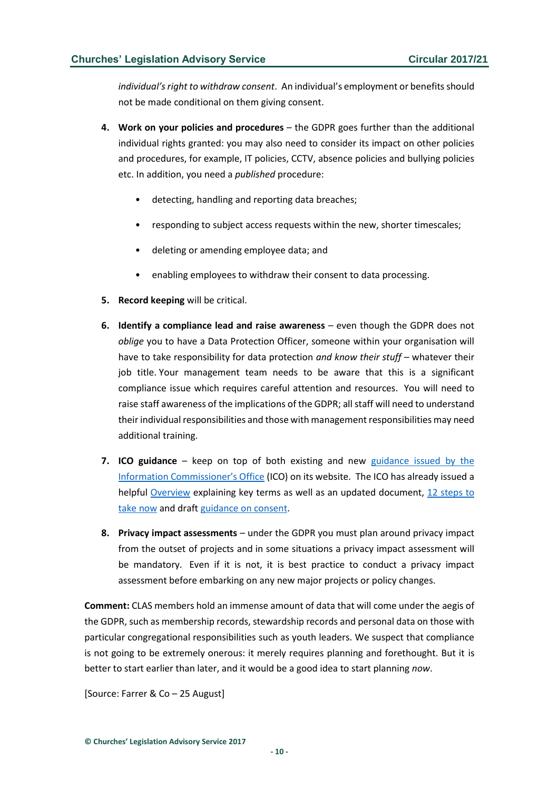*individual's right to withdraw consent*. An individual's employment or benefits should not be made conditional on them giving consent.

- **4. Work on your policies and procedures** the GDPR goes further than the additional individual rights granted: you may also need to consider its impact on other policies and procedures, for example, IT policies, CCTV, absence policies and bullying policies etc. In addition, you need a *published* procedure:
	- detecting, handling and reporting data breaches;
	- responding to subject access requests within the new, shorter timescales;
	- deleting or amending employee data; and
	- enabling employees to withdraw their consent to data processing.
- **5. Record keeping** will be critical.
- **6. Identify a compliance lead and raise awareness** even though the GDPR does not *oblige* you to have a Data Protection Officer, someone within your organisation will have to take responsibility for data protection *and know their stuff* – whatever their job title. Your management team needs to be aware that this is a significant compliance issue which requires careful attention and resources. You will need to raise staff awareness of the implications of the GDPR; all staff will need to understand their individual responsibilities and those with management responsibilities may need additional training.
- **7. ICO guidance** keep on top of both existing and new [guidance issued by the](https://ico.org.uk/for-organisations/data-protection-reform/)  [Information Commissioner's Office](https://ico.org.uk/for-organisations/data-protection-reform/) (ICO) on its website. The ICO has already issued a helpful [Overview](https://ico.org.uk/media/for-organisations/data-protection-reform/overview-of-the-gdpr-1-12.pdf) explaining key terms as well as an updated document, [12 steps to](https://ico.org.uk/media/1624219/preparing-for-the-gdpr-12-steps.pdf)  [take now](https://ico.org.uk/media/1624219/preparing-for-the-gdpr-12-steps.pdf) and draf[t guidance on consent.](https://ico.org.uk/media/about-the-ico/consultations/2013551/draft-gdpr-consent-guidance-for-consultation-201703.pdf)
- **8. Privacy impact assessments** under the GDPR you must plan around privacy impact from the outset of projects and in some situations a privacy impact assessment will be mandatory. Even if it is not, it is best practice to conduct a privacy impact assessment before embarking on any new major projects or policy changes.

**Comment:** CLAS members hold an immense amount of data that will come under the aegis of the GDPR, such as membership records, stewardship records and personal data on those with particular congregational responsibilities such as youth leaders. We suspect that compliance is not going to be extremely onerous: it merely requires planning and forethought. But it is better to start earlier than later, and it would be a good idea to start planning *now*.

[Source: Farrer & Co – 25 August]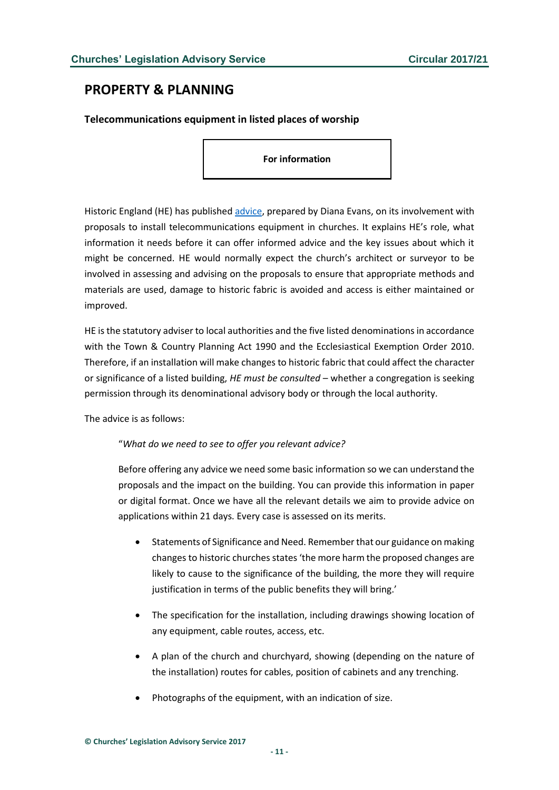# <span id="page-10-0"></span>**PROPERTY & PLANNING**

<span id="page-10-1"></span>**Telecommunications equipment in listed places of worship** 

**For information**

Historic England (HE) has published [advice,](https://content.historicengland.org.uk/images-books/publications/installation-telecomms-equip-in-places-of-worship/installation-of-telecommunications-equip-pow-20170811.pdf/) prepared by Diana Evans, on its involvement with proposals to install telecommunications equipment in churches. It explains HE's role, what information it needs before it can offer informed advice and the key issues about which it might be concerned. HE would normally expect the church's architect or surveyor to be involved in assessing and advising on the proposals to ensure that appropriate methods and materials are used, damage to historic fabric is avoided and access is either maintained or improved.

HE is the statutory adviser to local authorities and the five listed denominations in accordance with the Town & Country Planning Act 1990 and the Ecclesiastical Exemption Order 2010. Therefore, if an installation will make changes to historic fabric that could affect the character or significance of a listed building, *HE must be consulted* – whether a congregation is seeking permission through its denominational advisory body or through the local authority.

The advice is as follows:

## "*What do we need to see to offer you relevant advice?*

Before offering any advice we need some basic information so we can understand the proposals and the impact on the building. You can provide this information in paper or digital format. Once we have all the relevant details we aim to provide advice on applications within 21 days. Every case is assessed on its merits.

- Statements of Significance and Need. Remember that our guidance on making changes to historic churches states 'the more harm the proposed changes are likely to cause to the significance of the building, the more they will require justification in terms of the public benefits they will bring.'
- The specification for the installation, including drawings showing location of any equipment, cable routes, access, etc.
- A plan of the church and churchyard, showing (depending on the nature of the installation) routes for cables, position of cabinets and any trenching.
- Photographs of the equipment, with an indication of size.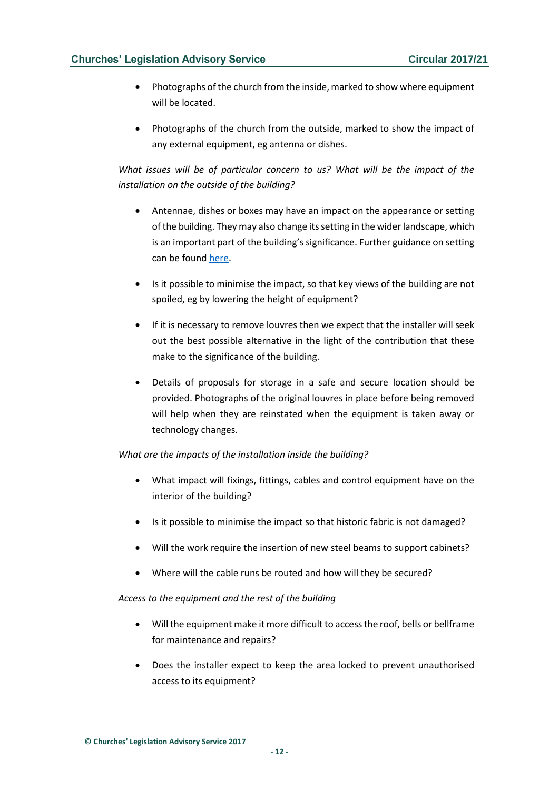- Photographs of the church from the inside, marked to show where equipment will be located.
- Photographs of the church from the outside, marked to show the impact of any external equipment, eg antenna or dishes.

*What issues will be of particular concern to us? What will be the impact of the installation on the outside of the building?* 

- Antennae, dishes or boxes may have an impact on the appearance or setting of the building. They may also change its setting in the wider landscape, which is an important part of the building's significance. Further guidance on setting can be found [here.](https://content.historicengland.org.uk/images-books/publications/gpa3-setting-of-heritage-assets/gpa3.pdf/)
- Is it possible to minimise the impact, so that key views of the building are not spoiled, eg by lowering the height of equipment?
- If it is necessary to remove louvres then we expect that the installer will seek out the best possible alternative in the light of the contribution that these make to the significance of the building.
- Details of proposals for storage in a safe and secure location should be provided. Photographs of the original louvres in place before being removed will help when they are reinstated when the equipment is taken away or technology changes.

## *What are the impacts of the installation inside the building?*

- What impact will fixings, fittings, cables and control equipment have on the interior of the building?
- Is it possible to minimise the impact so that historic fabric is not damaged?
- Will the work require the insertion of new steel beams to support cabinets?
- Where will the cable runs be routed and how will they be secured?

## *Access to the equipment and the rest of the building*

- Will the equipment make it more difficult to access the roof, bells or bellframe for maintenance and repairs?
- Does the installer expect to keep the area locked to prevent unauthorised access to its equipment?